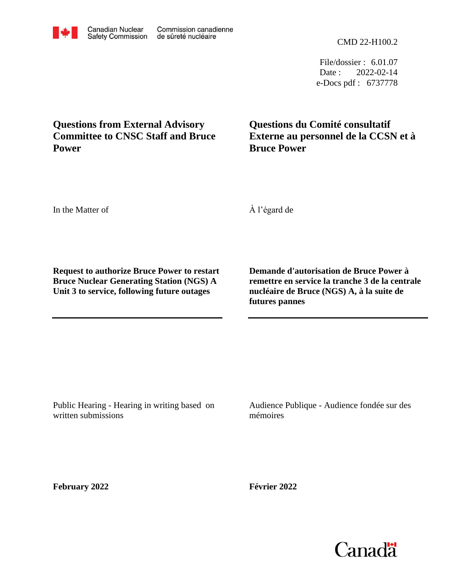CMD 22-H100.2

File/dossier : 6.01.07 Date : 2022-02-14 e-Docs pdf : 6737778

## **Questions from External Advisory Committee to CNSC Staff and Bruce Power**

**Questions du Comité consultatif Externe au personnel de la CCSN et à Bruce Power**

In the Matter of

À l'égard de

**Request to authorize Bruce Power to restart Bruce Nuclear Generating Station (NGS) A Unit 3 to service, following future outages**

**Demande d'autorisation de Bruce Power à remettre en service la tranche 3 de la centrale nucléaire de Bruce (NGS) A, à la suite de futures pannes**

Public Hearing - Hearing in writing based on written submissions

Audience Publique - Audience fondée sur des mémoires

**February 2022**

**Février 2022**

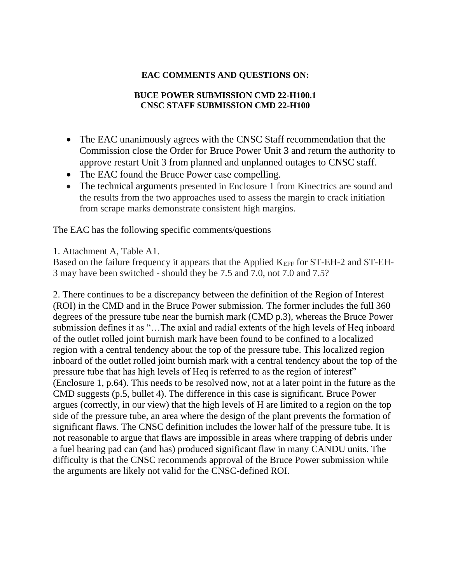## **EAC COMMENTS AND QUESTIONS ON:**

## **BUCE POWER SUBMISSION CMD 22-H100.1 CNSC STAFF SUBMISSION CMD 22-H100**

- The EAC unanimously agrees with the CNSC Staff recommendation that the Commission close the Order for Bruce Power Unit 3 and return the authority to approve restart Unit 3 from planned and unplanned outages to CNSC staff.
- The EAC found the Bruce Power case compelling.
- The technical arguments presented in Enclosure 1 from Kinectrics are sound and the results from the two approaches used to assess the margin to crack initiation from scrape marks demonstrate consistent high margins.

The EAC has the following specific comments/questions

1. Attachment A, Table A1.

Based on the failure frequency it appears that the Applied K<sub>EFF</sub> for ST-EH-2 and ST-EH-3 may have been switched - should they be 7.5 and 7.0, not 7.0 and 7.5?

2. There continues to be a discrepancy between the definition of the Region of Interest (ROI) in the CMD and in the Bruce Power submission. The former includes the full 360 degrees of the pressure tube near the burnish mark (CMD p.3), whereas the Bruce Power submission defines it as "…The axial and radial extents of the high levels of Heq inboard of the outlet rolled joint burnish mark have been found to be confined to a localized region with a central tendency about the top of the pressure tube. This localized region inboard of the outlet rolled joint burnish mark with a central tendency about the top of the pressure tube that has high levels of Heq is referred to as the region of interest" (Enclosure 1, p.64). This needs to be resolved now, not at a later point in the future as the CMD suggests (p.5, bullet 4). The difference in this case is significant. Bruce Power argues (correctly, in our view) that the high levels of H are limited to a region on the top side of the pressure tube, an area where the design of the plant prevents the formation of significant flaws. The CNSC definition includes the lower half of the pressure tube. It is not reasonable to argue that flaws are impossible in areas where trapping of debris under a fuel bearing pad can (and has) produced significant flaw in many CANDU units. The difficulty is that the CNSC recommends approval of the Bruce Power submission while the arguments are likely not valid for the CNSC-defined ROI.